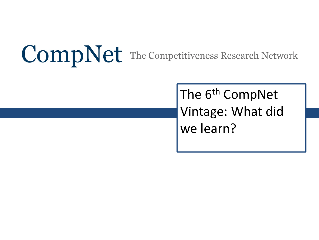# **CompNet** The Competitiveness Research Network

The 6<sup>th</sup> CompNet Vintage: What did we learn?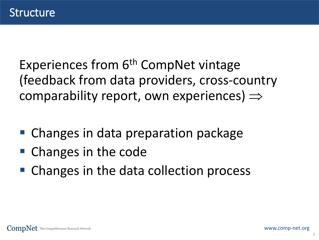Experiences from 6<sup>th</sup> CompNet vintage (feedback from data providers, cross-country comparability report, own experiences)  $\Rightarrow$ 

- Changes in data preparation package
- Changes in the code
- Changes in the data collection process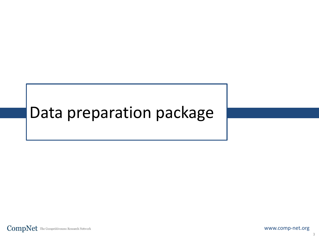# Data preparation package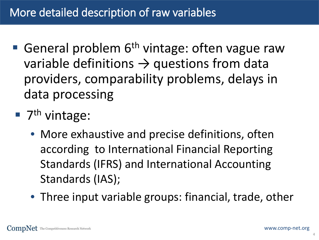- General problem  $6<sup>th</sup>$  vintage: often vague raw variable definitions  $\rightarrow$  questions from data providers, comparability problems, delays in data processing
- $\blacksquare$  7<sup>th</sup> vintage:
	- More exhaustive and precise definitions, often according to International Financial Reporting Standards (IFRS) and International Accounting Standards (IAS);
	- Three input variable groups: financial, trade, other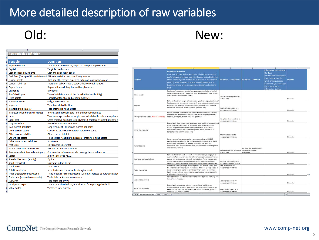#### More detailed description of raw variables

# Old:

|   | <b>Raw variables definition</b>       |                                                                        |
|---|---------------------------------------|------------------------------------------------------------------------|
|   |                                       |                                                                        |
|   | Variable                              | <b>Definition</b>                                                      |
|   | <b>Adjusted export</b>                | Total exports by the firm, adjusted for reporting threshold            |
|   | Capital                               | <b>Tangible fixed assets</b>                                           |
|   | Cash and cash equivalents             | Cash and balances at banks                                             |
|   | Cash flow (from profit/loss statement | EBT + depreciation + extraordinary income                              |
|   | <b>Current assets</b>                 | Cash and other assets expected to turn in cash within a year           |
|   | <b>Current liabilities</b>            | Short term debt + Trade credit + Other current liabilities             |
|   | 0 Depreciation                        | Depreciation on intangible and tangible assets                         |
|   | 1 Dividends                           | <b>Dividends</b>                                                       |
|   | 2 Firm's birth year                   | Year of establishment of the firm (limited availability)               |
|   | 3 Fixed assets                        | Tangible, intangible and other fixed assets                            |
|   | 4 Four-digit sector                   | 4-digit Nace Code rev. 2                                               |
|   | 5 Imports                             | Total imports by the firm                                              |
|   | 6 Intangible fixed assets             | <b>Total intangible fixed assets</b>                                   |
|   | 7 Interest paid and financial charges | Interest on financial debts + other financial expenses                 |
|   | 8 Labor                               | Yearly average number of employees, calculated in full-time equival    |
|   | 9 Labor cost                          | Gross employee compensation (wages + employers' contributions to       |
|   | 0 Long term debt                      | Loansdue in more than 1 year                                           |
|   | 1 Non-current liabilities             | Long term debt + Other non current liabilities                         |
|   | 2 Other current assets                | Current assets - Trade debtors- Total inventories                      |
|   | 3 Other current liabilities           | Other current liabilities                                              |
|   | 4 Other fixed assets                  | Fixed assets - tangible fixed assets - intangible fixed assets         |
|   | 5 Other non-current liabilities       | <b>Provisions</b>                                                      |
|   | 6 Profit/loss                         | <b>EBIT</b> (operating profits)                                        |
|   | 7 Profits and losses before taxes     | EBT (EBIT + financial revenues)                                        |
|   | 8 Raw materials (intermediate inputs) | Consumption of raw materials + energy + external services              |
|   | 9 Sector                              | 2-digit Nace Code rev. 2                                               |
|   | 0 Shareholder funds (equity)          | Equity                                                                 |
|   | 1 Short-term debt                     | Loansdue within 1 year                                                 |
|   | 2 Total assets                        | <b>Total assets</b>                                                    |
|   | 3 Total inventories                   | Inventories and consumable biological assets                           |
|   | 4 Trade credit (accounts payable)     | Trade credit or Accounts payable (Liabilities related to purchased goo |
|   | 5 Trade debt (accounts receivable)    | Trade debt or Accounts receivable                                      |
|   | 6 Turnover                            | <b>Total sales net of VAT</b>                                          |
|   | 7 Unadjusted export                   | Total exports by the firm, not adjusted for reporting threshold        |
|   | 8 Value added                         | Turnover - raw material                                                |
| 9 |                                       |                                                                        |

#### New:

|                                                                     | B                                                                                                                                                                                                                                                                                                                                                                            |                                                                       | D.                                         |                                                                                                                                                                                                       |           |    |
|---------------------------------------------------------------------|------------------------------------------------------------------------------------------------------------------------------------------------------------------------------------------------------------------------------------------------------------------------------------------------------------------------------------------------------------------------------|-----------------------------------------------------------------------|--------------------------------------------|-------------------------------------------------------------------------------------------------------------------------------------------------------------------------------------------------------|-----------|----|
| Variable                                                            | <b>Definition - First best</b><br>Note: For stock variables like assets or liabilities we would<br>prefer the yearly average (e.g. (fixed assets at the beginning<br>of the calendar year + fixed assets at the end of the calendar<br>year)/2). Stock variables at a particular point in time (e.g.,<br>beginning or end of the accounting period) are only second<br>best. | <b>Definition - Second best</b>                                       | Definition - Third best                    | <b>Information to document</b><br>the data:<br>What definition have you<br>used? Please specify<br>which of the proposed<br>definitions you have used.<br>If you have used a<br>different definition. | Module    |    |
| Fixed assets                                                        | Sub item of non-current assets (yearly average) consisting of capital<br>(tangible fixed assets) + intangible fixed assets + other fixed assets<br>(mainly financial long-term assets)                                                                                                                                                                                       | Fixed assets at a particular<br>point in time                         |                                            |                                                                                                                                                                                                       | Financial |    |
| Capital                                                             | Balance sheet item tangible fixed assets (yearly average), sub-item of<br>fixed assets and non-current assets: only land, machinery, equipment,<br>buildings and other durables; does not include long-term financial<br>assets and intangible assets (patents, goodwill etc.)                                                                                               | Tangible fixed assets at a<br>particular point in time                |                                            |                                                                                                                                                                                                       | Financial |    |
| Intangible fixed assets (New in CompNet)                            | Related balance sheet item intangible fixed assets (yearly average):<br>acquired - not developed in-house - intellectual property (patents,<br>licences, copyrights, trademarks) and goodwill                                                                                                                                                                                | Intangible fixed assets at a<br>particular point in time              |                                            |                                                                                                                                                                                                       | Financial |    |
| Other fixed assets                                                  | Basically all fixed assets (yearly average), that could not be subsumed<br>under tangible fixed assets or intangible fixed assets: contains<br>mainly long-term financial assets such as shares in affiliated<br>enterprises, loans to affiliated enterprises, stocks, securities or<br>bonds held not for immediate sale                                                    | Other fixed assets at a<br>particular point in time                   |                                            |                                                                                                                                                                                                       | Financial |    |
| Current assets                                                      | Current assets (yearly average) are assets according to IAS 1.66:<br>expected to be realised in the entity's normal operating cycle, held<br>primarily for the purpose of trading. Sub-items are: accounts<br>receivable, total inventories and other current assets (including cash<br>and cash equivalents)                                                                | Current assets at a particular accounts receivable +<br>point in time | cash and cash equivalents +<br>inventories |                                                                                                                                                                                                       | Financial |    |
| Cash and cash equivalents                                           | Balance sheet item cash and cash equivalent (yearly average), it is a<br>sub-item of other current assets: value of a company's assets that are<br>cash or can be converted into cash immediately. These include cash<br>means, bank accounts, marketable securities, commercial paper,<br>treasury bills and short-term government bonds with a maturity date               | Cash and cash equivalents.<br>lat a particular point in time          |                                            |                                                                                                                                                                                                       | Financial |    |
| Total inventories                                                   | Inventories (yearly average) according to IAS 2.6: include assets held<br>for sale in the ordinary course of business (finished goods), assets in [particular point in time<br>the production process for sale in the ordinary course of business<br>(work in process), and materials and supplies that are consumed in<br>production (raw materials)                        | Total inventories at a                                                |                                            |                                                                                                                                                                                                       | Financial | No |
| Accounts receivable                                                 | Related balance sheet item: accounts receivable (yearly average), sub-<br>item of current assets                                                                                                                                                                                                                                                                             | Accounts receivable at a<br>particular point in time.                 |                                            |                                                                                                                                                                                                       | Financial |    |
| Other current assets<br>( ) IE Financial variables / Trade<br>Other | Basically all current assets (yearly average) that could not be<br>subsumed under accounts receivables and inventories: contains for<br>example cash and cash equivalent (see definition above), prepaid<br>expenses and accrued income.<br>Ø.                                                                                                                               | Other current assets at a<br>particular point in time                 |                                            |                                                                                                                                                                                                       | Financial |    |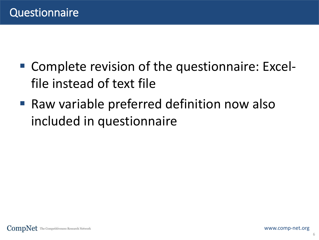- Complete revision of the questionnaire: Excelfile instead of text file
- Raw variable preferred definition now also included in questionnaire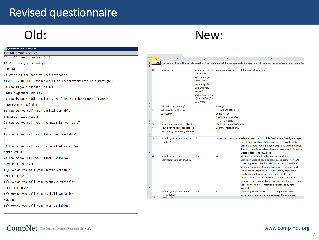#### Revised questionnaire

## Old:

| Questionnaire - Notepad                                            |                                |                     |      |
|--------------------------------------------------------------------|--------------------------------|---------------------|------|
| Edit Format View Help<br><b>File</b>                               |                                |                     |      |
| *********Ouestionnaire*******                                      | $\overline{\mathcal{A}}$       | $\overline{A}$      |      |
| 1) Which is your country?                                          | $\mathbf{1}$<br>$\overline{2}$ | <b>This Quest</b>   |      |
| <b>PORTUGAL</b>                                                    |                                | ID                  | qu   |
| 2) Which is the path of your database?                             |                                |                     |      |
| e:\DATEN\PROJEKTE\Compnet\Do Files\Preparation\Test_File_Portugal\ |                                |                     |      |
| 3) How is your database called?                                    |                                |                     |      |
| PTadj_augmented 40e.dta                                            |                                |                     |      |
| 4) How is your additional dataset file (sent by CompNet) named?    |                                |                     |      |
| Country_Portugal.dta                                               | 3<br>4                         | $\mathbf{1}$        | W    |
| 5) How do you call your capital variable?                          |                                | $\mathbf{r}_{2}$    | W    |
| TANGIBLE_FIXED_ASSETS                                              |                                |                     | da   |
| 6) How do you call your raw material variable?                     | 5                              | 6 <sup>2</sup>      | Hc   |
| m                                                                  |                                | 4                   | Ho   |
| 7) How do you call your labor cost variable?                       | 7                              |                     | file |
| 1c                                                                 |                                | 5                   | Ho   |
| 8) How do you call your value added variable?                      |                                |                     | va   |
| <b>ADDED_VALUE</b>                                                 | 8                              |                     |      |
| 9) How do you call your labor variable?                            |                                | 6                   | Ho   |
| NUMBER_OF_EMPLOYEES                                                |                                |                     | int  |
| 10) How do you call your sector variable?                          |                                |                     |      |
| NACE_CODE_V2                                                       |                                |                     |      |
| 11) How do you call your turnover variable?                        |                                |                     |      |
| <b>OPERATING_REVENUE</b>                                           | 9                              |                     |      |
| 12) How do you call your mark/id variable?                         |                                | 7                   | Hc   |
| BVD_ID                                                             |                                | II I + > + Question | co   |

#### New:

| 4              | $\overline{A}$                                                                                                                                 | B                                                               | Ċ                                                                                                                                                                               | D                                                                             | Ë                                                                                                                                                                                                                                                                                                                                                                                                                                                                                                                                   |
|----------------|------------------------------------------------------------------------------------------------------------------------------------------------|-----------------------------------------------------------------|---------------------------------------------------------------------------------------------------------------------------------------------------------------------------------|-------------------------------------------------------------------------------|-------------------------------------------------------------------------------------------------------------------------------------------------------------------------------------------------------------------------------------------------------------------------------------------------------------------------------------------------------------------------------------------------------------------------------------------------------------------------------------------------------------------------------------|
| $\mathbf{1}$   | This Questionaire is filled with example variables from our data set. Please substitute the answers with you own information or delete and lea |                                                                 |                                                                                                                                                                                 |                                                                               |                                                                                                                                                                                                                                                                                                                                                                                                                                                                                                                                     |
| $\overline{2}$ |                                                                                                                                                |                                                                 |                                                                                                                                                                                 |                                                                               |                                                                                                                                                                                                                                                                                                                                                                                                                                                                                                                                     |
| 3              | ID                                                                                                                                             | question_txt                                                    | required format<br><b>Note: This</b><br>question refers<br>only to the<br>format of the<br>required raw<br>variables,<br>either "string", or<br>"float" with "," as<br>the 1000 | question answer                                                               | definition_information                                                                                                                                                                                                                                                                                                                                                                                                                                                                                                              |
| 4              | 1                                                                                                                                              | Which is your country?                                          |                                                                                                                                                                                 | Portugal                                                                      |                                                                                                                                                                                                                                                                                                                                                                                                                                                                                                                                     |
| 5              | $\overline{2}$                                                                                                                                 | Which is the path of your<br>database?                          |                                                                                                                                                                                 | e:\DATEN\PROJEKTE\<br>Compnet\Do<br>Files\Preparation\Tes<br>t File Portugal\ |                                                                                                                                                                                                                                                                                                                                                                                                                                                                                                                                     |
| 6              | 3                                                                                                                                              | How is your database called?                                    |                                                                                                                                                                                 | PTadj augmented 40e.dta                                                       |                                                                                                                                                                                                                                                                                                                                                                                                                                                                                                                                     |
| 7              | 4                                                                                                                                              | How is your additional dataset<br>file (sent by CompNet) named? |                                                                                                                                                                                 | Country Portugal.dta                                                          |                                                                                                                                                                                                                                                                                                                                                                                                                                                                                                                                     |
| 8              | 5                                                                                                                                              | How do you call your capital<br>variable?                       | float                                                                                                                                                                           |                                                                               | TANGIBLE FIXED ASSI Balance sheet item tangible fixed assets (yearly average),<br>sub-item of fixed assets and non-current assets: only<br>land, machinery, equipment, buildings and other durables;<br>does not include long-term financial assets and intangible<br>assets (patents, goodwill etc.)                                                                                                                                                                                                                               |
| 9              | 6                                                                                                                                              | How do you call your<br>intermediate input variable?            | float                                                                                                                                                                           | m                                                                             | All expenses of the firm for products and services<br>acquired valued at basic prices, i.e. excluding Non-VAT<br>taxes on products but including subsidies on products.<br>Definition includes all expenses for raw materials and<br>consumables, expenses for components, expenses for<br>goods intended for resale and expenses for hired<br>services. (If items from income statement are used:<br>expenses for purchased materials and hired services only<br>according to the classification of expenses by nature<br>method.) |
|                | 7                                                                                                                                              | How do you call your labor                                      | float                                                                                                                                                                           | lс                                                                            | Gross wages and salaries paid to employees, other                                                                                                                                                                                                                                                                                                                                                                                                                                                                                   |
|                |                                                                                                                                                |                                                                 |                                                                                                                                                                                 |                                                                               |                                                                                                                                                                                                                                                                                                                                                                                                                                                                                                                                     |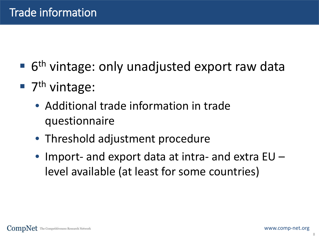- $\blacksquare$  6<sup>th</sup> vintage: only unadjusted export raw data
- $\blacksquare$  7<sup>th</sup> vintage:
	- Additional trade information in trade questionnaire
	- Threshold adjustment procedure
	- Import- and export data at intra- and extra EU level available (at least for some countries)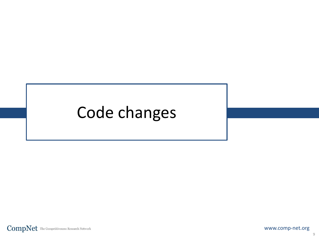# Code changes

 $\textbf{CompNet} \text{ The Competitiveness Research Network}$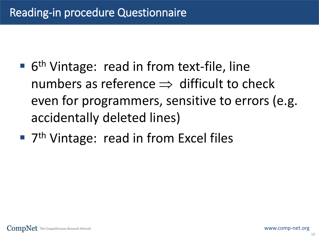- 6<sup>th</sup> Vintage: read in from text-file, line numbers as reference  $\Rightarrow$  difficult to check even for programmers, sensitive to errors (e.g. accidentally deleted lines)
- 7<sup>th</sup> Vintage: read in from Excel files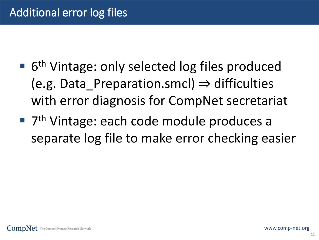- 6<sup>th</sup> Vintage: only selected log files produced (e.g. Data Preparation.smcl)  $\Rightarrow$  difficulties with error diagnosis for CompNet secretariat
- 7<sup>th</sup> Vintage: each code module produces a separate log file to make error checking easier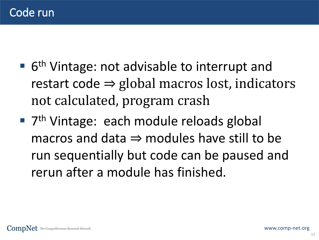- 6<sup>th</sup> Vintage: not advisable to interrupt and restart code  $\Rightarrow$  global macros lost, indicators not calculated, program crash
- 7<sup>th</sup> Vintage: each module reloads global macros and data  $\Rightarrow$  modules have still to be run sequentially but code can be paused and rerun after a module has finished.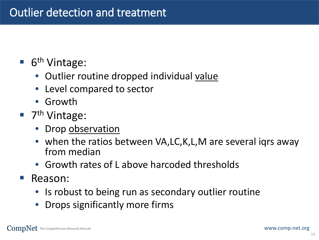### $\blacksquare$  6<sup>th</sup> Vintage:

- Outlier routine dropped individual value
- Level compared to sector
- Growth
- $\blacksquare$  7<sup>th</sup> Vintage:
	- Drop observation
	- when the ratios between VA,LC,K,L,M are several igrs away from median
	- Growth rates of L above harcoded thresholds
- Reason:
	- Is robust to being run as secondary outlier routine
	- Drops significantly more firms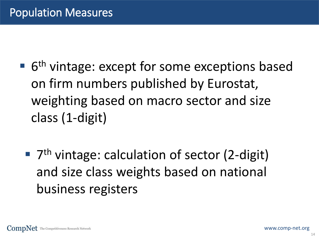- 6<sup>th</sup> vintage: except for some exceptions based on firm numbers published by Eurostat, weighting based on macro sector and size class (1-digit)
	- 7<sup>th</sup> vintage: calculation of sector (2-digit) and size class weights based on national business registers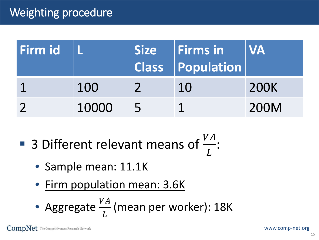## Weighting procedure

| Firm id |       |            | Size Firms in<br>$\ $ Class $\ $ Population $\ $ | <b>NA</b> |
|---------|-------|------------|--------------------------------------------------|-----------|
|         | 100   |            | 10                                               | 200K      |
|         | 10000 | $\sqrt{5}$ |                                                  | 200M      |

- **3** Different relevant means of  $\frac{VA}{I}$  $\overline{L}$ :
	- Sample mean: 11.1K
	- Firm population mean: 3.6K

• Aggregate 
$$
\frac{VA}{L}
$$
 (mean per worker): 18K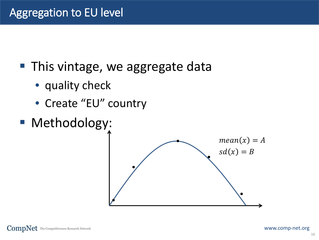■ This vintage, we aggregate data

- quality check
- Create "EU" country
- **Methodology:**

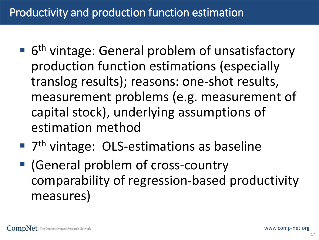### Productivity and production function estimation

- 6<sup>th</sup> vintage: General problem of unsatisfactory production function estimations (especially translog results); reasons: one-shot results, measurement problems (e.g. measurement of capital stock), underlying assumptions of estimation method
- 7<sup>th</sup> vintage: OLS-estimations as baseline
- (General problem of cross-country comparability of regression-based productivity measures)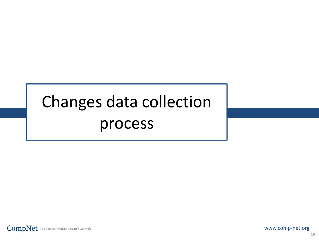# Changes data collection process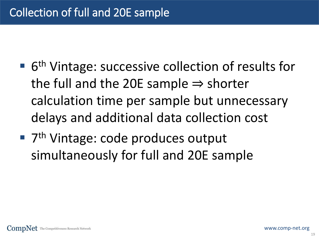- 6<sup>th</sup> Vintage: successive collection of results for the full and the 20E sample  $\Rightarrow$  shorter calculation time per sample but unnecessary delays and additional data collection cost
- 7<sup>th</sup> Vintage: code produces output simultaneously for full and 20E sample